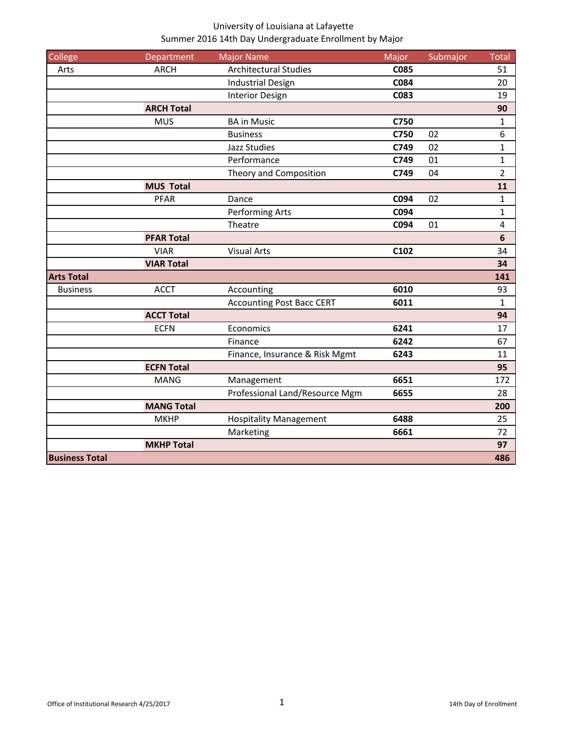| College               | Department        | <b>Major Name</b>                | Major       | Submajor | <b>Total</b>     |
|-----------------------|-------------------|----------------------------------|-------------|----------|------------------|
| Arts                  | <b>ARCH</b>       | <b>Architectural Studies</b>     | <b>C085</b> |          | 51               |
| <b>Business</b>       |                   | <b>Industrial Design</b>         | C084        |          | 20               |
|                       |                   | <b>Interior Design</b>           | C083        |          | 19               |
|                       | <b>ARCH Total</b> |                                  |             |          | 90               |
|                       | <b>MUS</b>        | <b>BA</b> in Music               | C750        |          | 1                |
|                       |                   | <b>Business</b>                  | C750        | 02       | $\boldsymbol{6}$ |
|                       |                   | <b>Jazz Studies</b>              | C749        | 02       | $\mathbf{1}$     |
|                       |                   | Performance                      | C749        | 01       | $\mathbf{1}$     |
|                       |                   | Theory and Composition           | C749        | 04       | $\overline{2}$   |
|                       | <b>MUS Total</b>  |                                  |             |          | 11               |
|                       | <b>PFAR</b>       | Dance                            | C094        | 02       | $\mathbf{1}$     |
|                       |                   | Performing Arts                  | C094        |          | 1                |
|                       |                   | Theatre                          | C094        | 01       | $\overline{4}$   |
|                       | <b>PFAR Total</b> |                                  |             |          | $6\phantom{1}6$  |
|                       | <b>VIAR</b>       | <b>Visual Arts</b>               | C102        |          | 34               |
|                       | <b>VIAR Total</b> |                                  |             |          | 34               |
| <b>Arts Total</b>     |                   |                                  |             |          | 141              |
|                       | <b>ACCT</b>       | Accounting                       | 6010        |          | 93               |
|                       |                   | <b>Accounting Post Bacc CERT</b> | 6011        |          | $\mathbf{1}$     |
|                       | <b>ACCT Total</b> |                                  |             |          | 94               |
|                       | <b>ECFN</b>       | Economics                        | 6241        |          | 17               |
|                       |                   | Finance                          | 6242        |          | 67               |
|                       |                   | Finance, Insurance & Risk Mgmt   | 6243        |          | 11               |
|                       | <b>ECFN Total</b> |                                  |             |          | 95               |
|                       | <b>MANG</b>       | Management                       | 6651        |          | 172              |
|                       |                   | Professional Land/Resource Mgm   | 6655        |          | 28               |
|                       | <b>MANG Total</b> |                                  |             |          | 200              |
|                       | <b>MKHP</b>       | <b>Hospitality Management</b>    | 6488        |          | 25               |
|                       |                   | Marketing                        | 6661        |          | 72               |
|                       | <b>MKHP Total</b> |                                  |             |          | 97               |
| <b>Business Total</b> |                   |                                  |             |          | 486              |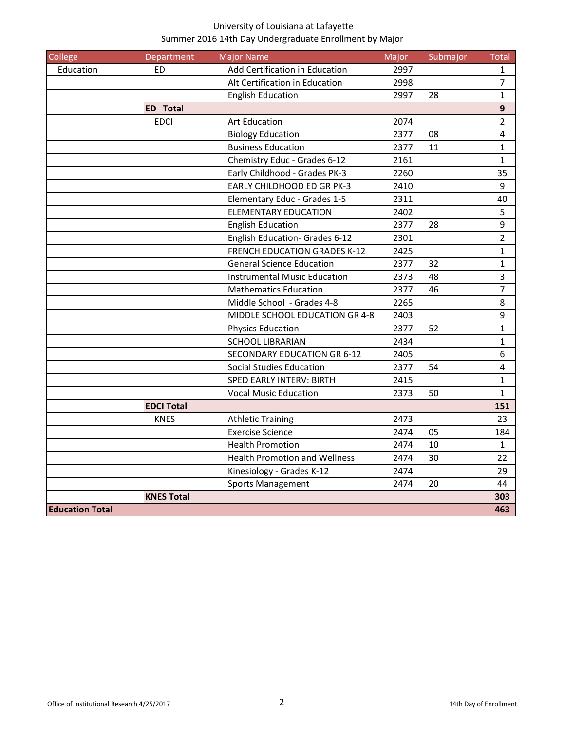| College                | Department        | <b>Major Name</b>                    | Major | Submajor | Total            |
|------------------------|-------------------|--------------------------------------|-------|----------|------------------|
| Education              | ED                | Add Certification in Education       | 2997  |          | $\mathbf{1}$     |
|                        |                   | Alt Certification in Education       | 2998  |          | $\overline{7}$   |
|                        |                   | <b>English Education</b>             | 2997  | 28       | $\mathbf{1}$     |
|                        | <b>ED Total</b>   |                                      |       |          | $\boldsymbol{9}$ |
|                        | <b>EDCI</b>       | <b>Art Education</b>                 | 2074  |          | $\overline{2}$   |
|                        |                   | <b>Biology Education</b>             | 2377  | 08       | $\sqrt{4}$       |
|                        |                   | <b>Business Education</b>            | 2377  | 11       | $\mathbf 1$      |
|                        |                   | Chemistry Educ - Grades 6-12         | 2161  |          | $\mathbf{1}$     |
|                        |                   | Early Childhood - Grades PK-3        | 2260  |          | 35               |
|                        |                   | <b>EARLY CHILDHOOD ED GR PK-3</b>    | 2410  |          | 9                |
|                        |                   | Elementary Educ - Grades 1-5         | 2311  |          | 40               |
|                        |                   | <b>ELEMENTARY EDUCATION</b>          | 2402  |          | 5                |
|                        |                   | <b>English Education</b>             | 2377  | 28       | $\boldsymbol{9}$ |
|                        |                   | English Education- Grades 6-12       | 2301  |          | $\overline{2}$   |
|                        |                   | <b>FRENCH EDUCATION GRADES K-12</b>  | 2425  |          | $\mathbf{1}$     |
|                        |                   | <b>General Science Education</b>     | 2377  | 32       | $\mathbf{1}$     |
|                        |                   | <b>Instrumental Music Education</b>  | 2373  | 48       | $\overline{3}$   |
|                        |                   | <b>Mathematics Education</b>         | 2377  | 46       | $\overline{7}$   |
|                        |                   | Middle School - Grades 4-8           | 2265  |          | 8                |
|                        |                   | MIDDLE SCHOOL EDUCATION GR 4-8       | 2403  |          | $\boldsymbol{9}$ |
|                        |                   | <b>Physics Education</b>             | 2377  | 52       | $\mathbf{1}$     |
|                        |                   | <b>SCHOOL LIBRARIAN</b>              | 2434  |          | $\mathbf 1$      |
|                        |                   | <b>SECONDARY EDUCATION GR 6-12</b>   | 2405  |          | $\sqrt{6}$       |
|                        |                   | <b>Social Studies Education</b>      | 2377  | 54       | $\overline{4}$   |
|                        |                   | <b>SPED EARLY INTERV: BIRTH</b>      | 2415  |          | $\mathbf{1}$     |
|                        |                   | <b>Vocal Music Education</b>         | 2373  | 50       | $\mathbf{1}$     |
|                        | <b>EDCI Total</b> |                                      |       |          | 151              |
|                        | <b>KNES</b>       | <b>Athletic Training</b>             | 2473  |          | 23               |
|                        |                   | <b>Exercise Science</b>              | 2474  | 05       | 184              |
|                        |                   | <b>Health Promotion</b>              | 2474  | 10       | $\mathbf{1}$     |
|                        |                   | <b>Health Promotion and Wellness</b> | 2474  | 30       | 22               |
|                        |                   | Kinesiology - Grades K-12            | 2474  |          | 29               |
|                        |                   | Sports Management                    | 2474  | 20       | 44               |
|                        | <b>KNES Total</b> |                                      |       |          | 303              |
| <b>Education Total</b> |                   |                                      |       |          | 463              |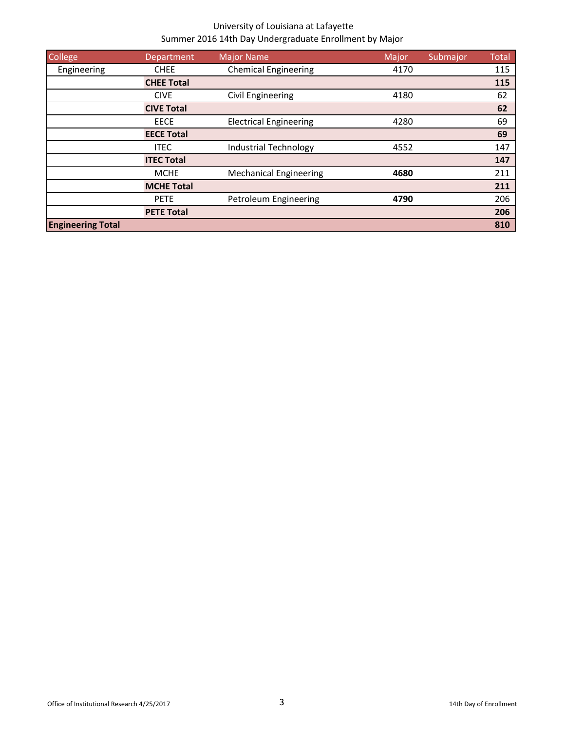| <b>College</b>           | Department        | Major Name                    | Major | Submajor | <b>Total</b> |
|--------------------------|-------------------|-------------------------------|-------|----------|--------------|
| Engineering              | <b>CHEE</b>       | <b>Chemical Engineering</b>   | 4170  |          | 115          |
|                          | <b>CHEE Total</b> |                               |       |          | 115          |
|                          | <b>CIVE</b>       | Civil Engineering             | 4180  |          | 62           |
|                          | <b>CIVE Total</b> |                               |       |          | 62           |
|                          | <b>EECE</b>       | <b>Electrical Engineering</b> | 4280  |          | 69           |
|                          | <b>EECE Total</b> |                               |       |          | 69           |
|                          | <b>ITEC</b>       | <b>Industrial Technology</b>  | 4552  |          | 147          |
|                          | <b>ITEC Total</b> |                               |       |          | 147          |
|                          | <b>MCHE</b>       | <b>Mechanical Engineering</b> | 4680  |          | 211          |
|                          | <b>MCHE Total</b> |                               |       |          | 211          |
|                          | <b>PETE</b>       | Petroleum Engineering         | 4790  |          | 206          |
|                          | <b>PETE Total</b> |                               |       |          | 206          |
| <b>Engineering Total</b> |                   |                               |       |          | 810          |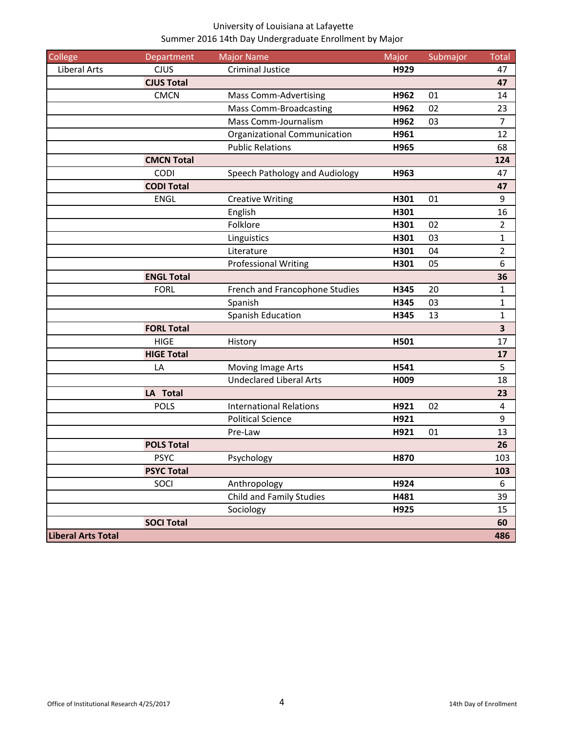| College                   | Department        | <b>Major Name</b>               | Major | Submajor | <b>Total</b>            |
|---------------------------|-------------------|---------------------------------|-------|----------|-------------------------|
| <b>Liberal Arts</b>       | <b>CJUS</b>       | <b>Criminal Justice</b>         | H929  |          | 47                      |
|                           | <b>CJUS Total</b> |                                 |       |          | 47                      |
|                           | <b>CMCN</b>       | <b>Mass Comm-Advertising</b>    | H962  | 01       | 14                      |
|                           |                   | <b>Mass Comm-Broadcasting</b>   | H962  | 02       | 23                      |
|                           |                   | Mass Comm-Journalism            | H962  | 03       | $\overline{7}$          |
|                           |                   | Organizational Communication    | H961  |          | 12                      |
|                           |                   | <b>Public Relations</b>         | H965  |          | 68                      |
|                           | <b>CMCN Total</b> |                                 |       |          | 124                     |
|                           | CODI              | Speech Pathology and Audiology  | H963  |          | 47                      |
|                           | <b>CODI Total</b> |                                 |       |          | 47                      |
|                           | <b>ENGL</b>       | <b>Creative Writing</b>         | H301  | 01       | 9                       |
|                           |                   | English                         | H301  |          | 16                      |
|                           |                   | Folklore                        | H301  | 02       | $\overline{2}$          |
|                           |                   | Linguistics                     | H301  | 03       | $\mathbf{1}$            |
|                           |                   | Literature                      | H301  | 04       | $\overline{2}$          |
|                           |                   | <b>Professional Writing</b>     | H301  | 05       | $\boldsymbol{6}$        |
|                           | <b>ENGL Total</b> |                                 |       |          | 36                      |
|                           | <b>FORL</b>       | French and Francophone Studies  | H345  | 20       | $\mathbf{1}$            |
|                           |                   | Spanish                         | H345  | 03       | 1                       |
|                           |                   | Spanish Education               | H345  | 13       | $\mathbf 1$             |
|                           | <b>FORL Total</b> |                                 |       |          | $\overline{\mathbf{3}}$ |
|                           | <b>HIGE</b>       | History                         | H501  |          | 17                      |
|                           | <b>HIGE Total</b> |                                 |       |          | 17                      |
|                           | LA                | Moving Image Arts               | H541  |          | 5                       |
|                           |                   | <b>Undeclared Liberal Arts</b>  | H009  |          | 18                      |
|                           | LA Total          |                                 |       |          | 23                      |
|                           | <b>POLS</b>       | <b>International Relations</b>  | H921  | 02       | $\overline{a}$          |
|                           |                   | <b>Political Science</b>        | H921  |          | $9\,$                   |
|                           |                   | Pre-Law                         | H921  | 01       | 13                      |
|                           | <b>POLS Total</b> |                                 |       |          | 26                      |
|                           | <b>PSYC</b>       | Psychology                      | H870  |          | 103                     |
|                           | <b>PSYC Total</b> |                                 |       |          | 103                     |
|                           | SOCI              | Anthropology                    | H924  |          | 6                       |
|                           |                   | <b>Child and Family Studies</b> | H481  |          | 39                      |
|                           |                   | Sociology                       | H925  |          | 15                      |
|                           | <b>SOCI Total</b> |                                 |       |          | 60                      |
| <b>Liberal Arts Total</b> |                   |                                 |       |          | 486                     |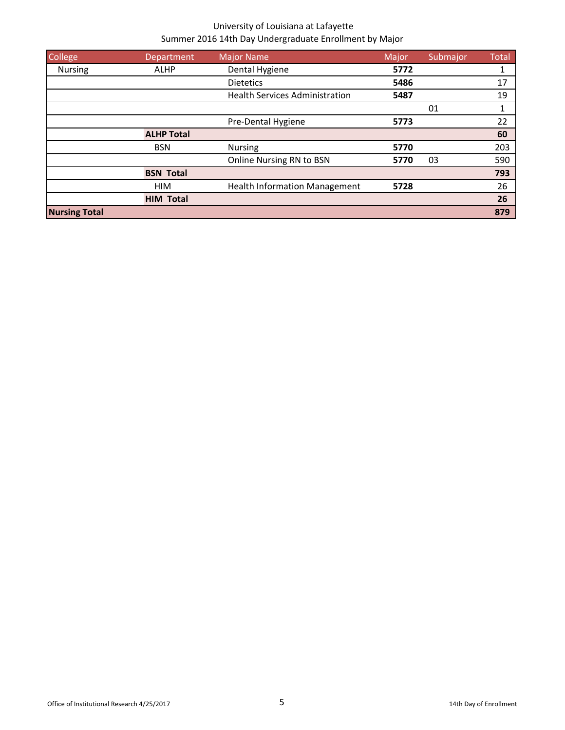| College              | Department        | <b>Major Name</b>                     | Major | Submajor | <b>Total</b> |
|----------------------|-------------------|---------------------------------------|-------|----------|--------------|
| <b>Nursing</b>       | <b>ALHP</b>       | Dental Hygiene                        | 5772  |          |              |
|                      |                   | <b>Dietetics</b>                      | 5486  |          | 17           |
|                      |                   | <b>Health Services Administration</b> | 5487  |          | 19           |
|                      |                   |                                       |       | 01       | 1            |
|                      |                   | Pre-Dental Hygiene                    | 5773  |          | 22           |
|                      | <b>ALHP Total</b> |                                       |       |          | 60           |
|                      | <b>BSN</b>        | <b>Nursing</b>                        | 5770  |          | 203          |
|                      |                   | Online Nursing RN to BSN              | 5770  | 03       | 590          |
|                      | <b>BSN Total</b>  |                                       |       |          | 793          |
|                      | <b>HIM</b>        | <b>Health Information Management</b>  | 5728  |          | 26           |
|                      | <b>HIM Total</b>  |                                       |       |          | 26           |
| <b>Nursing Total</b> |                   |                                       |       |          | 879          |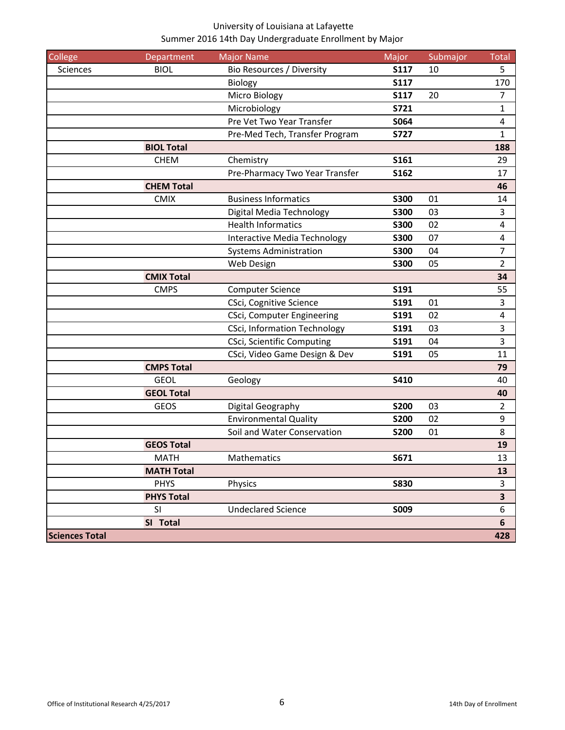| College               | Department        | <b>Major Name</b>                   | Major       | Submajor | Total            |
|-----------------------|-------------------|-------------------------------------|-------------|----------|------------------|
| Sciences              | <b>BIOL</b>       | Bio Resources / Diversity           | <b>S117</b> | 10       | 5                |
|                       |                   | Biology                             | <b>S117</b> |          | 170              |
|                       |                   | Micro Biology                       | <b>S117</b> | 20       | $\overline{7}$   |
|                       |                   | Microbiology                        | S721        |          | $\mathbf{1}$     |
|                       |                   | Pre Vet Two Year Transfer           | S064        |          | 4                |
|                       |                   | Pre-Med Tech, Transfer Program      | <b>S727</b> |          | 1                |
|                       | <b>BIOL Total</b> |                                     |             |          | 188              |
|                       | <b>CHEM</b>       | Chemistry                           | <b>S161</b> |          | 29               |
|                       |                   | Pre-Pharmacy Two Year Transfer      | S162        |          | 17               |
|                       | <b>CHEM Total</b> |                                     |             |          | 46               |
|                       | <b>CMIX</b>       | <b>Business Informatics</b>         | <b>S300</b> | 01       | 14               |
|                       |                   | Digital Media Technology            | <b>S300</b> | 03       | $\mathbf{3}$     |
|                       |                   | <b>Health Informatics</b>           | <b>S300</b> | 02       | 4                |
|                       |                   | Interactive Media Technology        | <b>S300</b> | 07       | $\sqrt{4}$       |
|                       |                   | <b>Systems Administration</b>       | <b>S300</b> | 04       | $\overline{7}$   |
|                       |                   | Web Design                          | <b>S300</b> | 05       | 2                |
|                       | <b>CMIX Total</b> |                                     |             |          | 34               |
|                       | <b>CMPS</b>       | <b>Computer Science</b>             | S191        |          | 55               |
|                       |                   | CSci, Cognitive Science             | S191        | 01       | 3                |
|                       |                   | CSci, Computer Engineering          | S191        | 02       | $\sqrt{4}$       |
|                       |                   | <b>CSci, Information Technology</b> | S191        | 03       | $\overline{3}$   |
|                       |                   | CSci, Scientific Computing          | S191        | 04       | 3                |
|                       |                   | CSci, Video Game Design & Dev       | S191        | 05       | 11               |
|                       | <b>CMPS Total</b> |                                     |             |          | 79               |
|                       | <b>GEOL</b>       | Geology                             | S410        |          | 40               |
|                       | <b>GEOL Total</b> |                                     |             |          | 40               |
|                       | <b>GEOS</b>       | Digital Geography                   | <b>S200</b> | 03       | $\overline{2}$   |
|                       |                   | <b>Environmental Quality</b>        | <b>S200</b> | 02       | 9                |
|                       |                   | Soil and Water Conservation         | <b>S200</b> | 01       | 8                |
|                       | <b>GEOS Total</b> |                                     |             |          | 19               |
|                       | <b>MATH</b>       | Mathematics                         | S671        |          | 13               |
|                       | <b>MATH Total</b> |                                     |             |          | 13               |
|                       | <b>PHYS</b>       | Physics                             | <b>S830</b> |          | 3                |
|                       | <b>PHYS Total</b> |                                     |             |          | 3                |
|                       | SI                | <b>Undeclared Science</b>           | S009        |          | $\boldsymbol{6}$ |
|                       | SI Total          |                                     |             |          | 6                |
| <b>Sciences Total</b> |                   |                                     |             |          | 428              |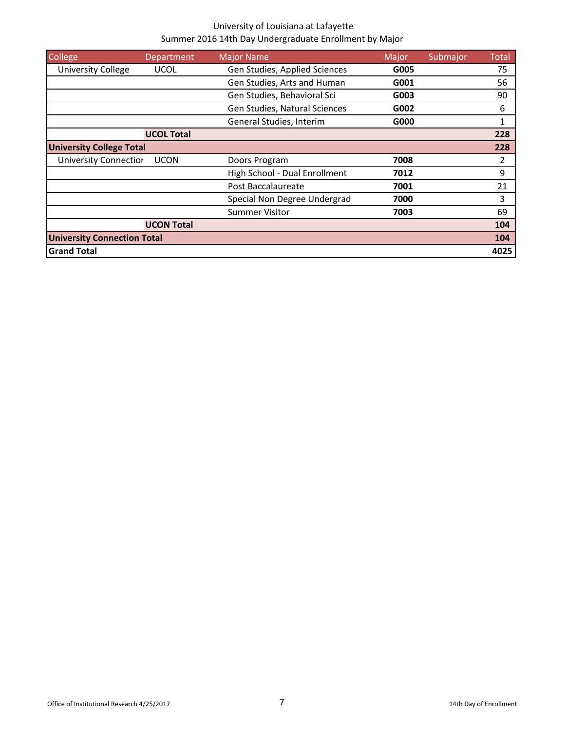| College                            | Department        | <b>Major Name</b>             | Major | Submajor | Total |
|------------------------------------|-------------------|-------------------------------|-------|----------|-------|
| <b>University College</b>          | <b>UCOL</b>       | Gen Studies, Applied Sciences | G005  |          | 75    |
|                                    |                   | Gen Studies, Arts and Human   | G001  |          | 56    |
|                                    |                   | Gen Studies, Behavioral Sci   | G003  |          | 90    |
|                                    |                   | Gen Studies, Natural Sciences | G002  |          | 6     |
|                                    |                   | General Studies, Interim      | G000  |          | 1     |
|                                    | <b>UCOL Total</b> |                               |       |          | 228   |
| <b>University College Total</b>    |                   |                               |       |          | 228   |
| <b>University Connection</b>       | <b>UCON</b>       | Doors Program                 | 7008  |          | 2     |
|                                    |                   | High School - Dual Enrollment | 7012  |          | 9     |
|                                    |                   | Post Baccalaureate            | 7001  |          | 21    |
|                                    |                   | Special Non Degree Undergrad  | 7000  |          | 3     |
|                                    |                   | Summer Visitor                | 7003  |          | 69    |
|                                    | <b>UCON Total</b> |                               |       |          | 104   |
| <b>University Connection Total</b> |                   |                               |       |          | 104   |
| <b>Grand Total</b>                 |                   |                               |       |          | 4025  |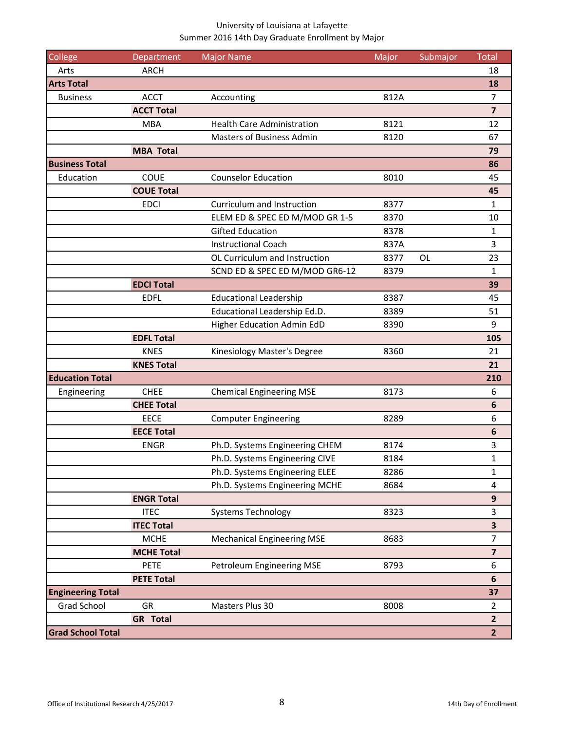| College                  | Department        | <b>Major Name</b>                 | Major | Submajor  | <b>Total</b>            |
|--------------------------|-------------------|-----------------------------------|-------|-----------|-------------------------|
| Arts                     | <b>ARCH</b>       |                                   |       |           | 18                      |
| <b>Arts Total</b>        |                   |                                   |       |           | 18                      |
| <b>Business</b>          | <b>ACCT</b>       | Accounting                        | 812A  |           | $\overline{7}$          |
|                          | <b>ACCT Total</b> |                                   |       |           | $\overline{7}$          |
|                          | <b>MBA</b>        | <b>Health Care Administration</b> | 8121  |           | 12                      |
|                          |                   | <b>Masters of Business Admin</b>  | 8120  |           | 67                      |
|                          | <b>MBA Total</b>  |                                   |       |           | 79                      |
| <b>Business Total</b>    |                   |                                   |       |           | 86                      |
| Education                | <b>COUE</b>       | <b>Counselor Education</b>        | 8010  |           | 45                      |
|                          | <b>COUE Total</b> |                                   |       |           | 45                      |
|                          | <b>EDCI</b>       | Curriculum and Instruction        | 8377  |           | $\mathbf{1}$            |
|                          |                   | ELEM ED & SPEC ED M/MOD GR 1-5    | 8370  |           | 10                      |
|                          |                   | <b>Gifted Education</b>           | 8378  |           | $\mathbf{1}$            |
|                          |                   | <b>Instructional Coach</b>        | 837A  |           | 3                       |
|                          |                   | OL Curriculum and Instruction     | 8377  | <b>OL</b> | 23                      |
|                          |                   | SCND ED & SPEC ED M/MOD GR6-12    | 8379  |           | 1                       |
|                          | <b>EDCI Total</b> |                                   |       |           | 39                      |
|                          | <b>EDFL</b>       | <b>Educational Leadership</b>     | 8387  |           | 45                      |
|                          |                   | Educational Leadership Ed.D.      | 8389  |           | 51                      |
|                          |                   | Higher Education Admin EdD        | 8390  |           | 9                       |
|                          | <b>EDFL Total</b> |                                   |       |           | 105                     |
|                          | <b>KNES</b>       | Kinesiology Master's Degree       | 8360  |           | 21                      |
|                          | <b>KNES Total</b> |                                   |       |           | 21                      |
| <b>Education Total</b>   |                   |                                   |       |           | 210                     |
| Engineering              | <b>CHEE</b>       | <b>Chemical Engineering MSE</b>   | 8173  |           | 6                       |
|                          | <b>CHEE Total</b> |                                   |       |           | $\boldsymbol{6}$        |
|                          | <b>EECE</b>       | <b>Computer Engineering</b>       | 8289  |           | 6                       |
|                          | <b>EECE Total</b> |                                   |       |           | 6                       |
|                          | <b>ENGR</b>       | Ph.D. Systems Engineering CHEM    | 8174  |           | 3                       |
|                          |                   | Ph.D. Systems Engineering CIVE    | 8184  |           | 1                       |
|                          |                   | Ph.D. Systems Engineering ELEE    | 8286  |           | $\mathbf{1}$            |
|                          |                   | Ph.D. Systems Engineering MCHE    | 8684  |           | 4                       |
|                          | <b>ENGR Total</b> |                                   |       |           | $\boldsymbol{9}$        |
|                          | <b>ITEC</b>       | <b>Systems Technology</b>         | 8323  |           | 3                       |
|                          | <b>ITEC Total</b> |                                   |       |           | 3                       |
|                          | <b>MCHE</b>       | <b>Mechanical Engineering MSE</b> | 8683  |           | 7                       |
|                          | <b>MCHE Total</b> |                                   |       |           | $\overline{\mathbf{z}}$ |
|                          | <b>PETE</b>       | Petroleum Engineering MSE         | 8793  |           | 6                       |
|                          | <b>PETE Total</b> |                                   |       |           | $\boldsymbol{6}$        |
| <b>Engineering Total</b> |                   |                                   |       |           | 37                      |
| Grad School              | GR                | Masters Plus 30                   | 8008  |           | $\overline{2}$          |
|                          | <b>GR</b> Total   |                                   |       |           | $\overline{2}$          |
| <b>Grad School Total</b> |                   |                                   |       |           | $\overline{2}$          |